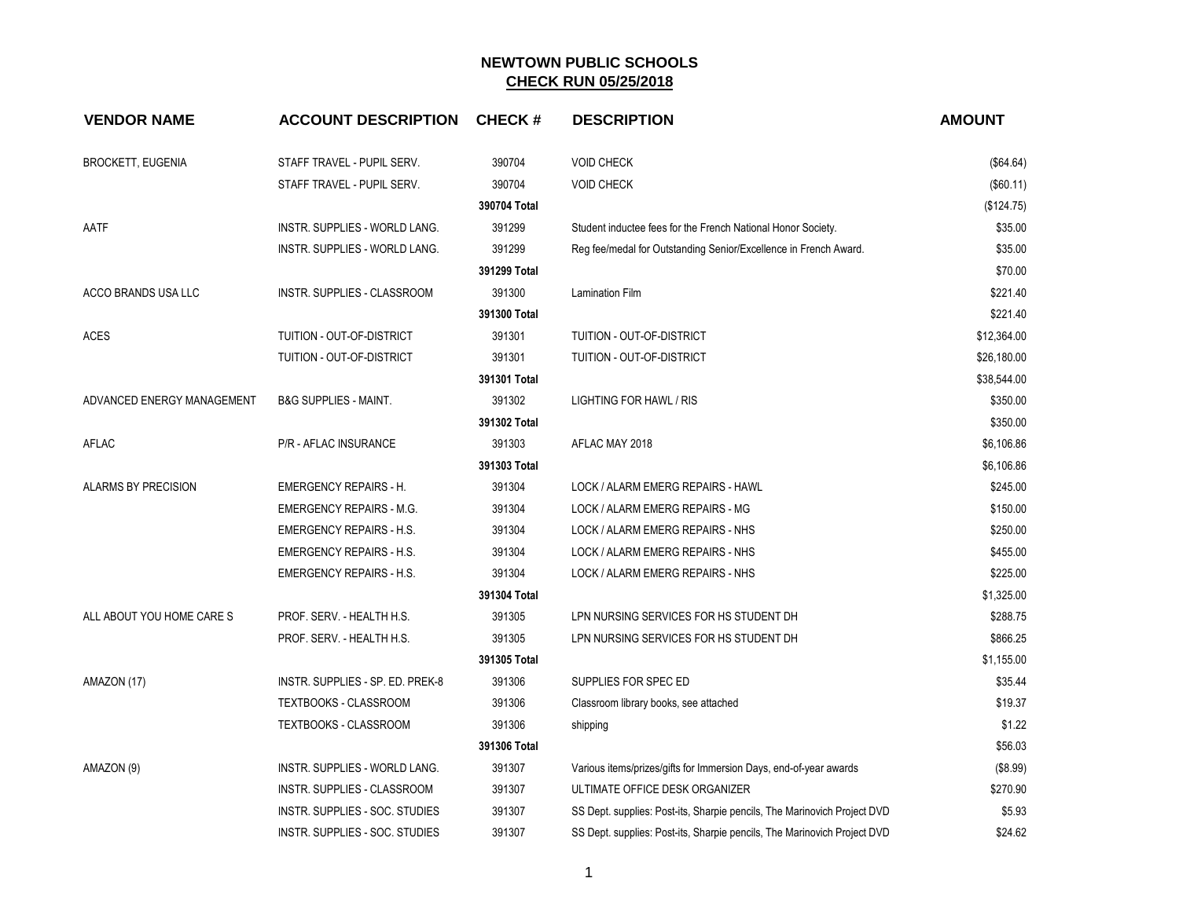| <b>VENDOR NAME</b>         | <b>ACCOUNT DESCRIPTION</b>       | <b>CHECK#</b> | <b>DESCRIPTION</b>                                                       | <b>AMOUNT</b> |
|----------------------------|----------------------------------|---------------|--------------------------------------------------------------------------|---------------|
| <b>BROCKETT, EUGENIA</b>   | STAFF TRAVEL - PUPIL SERV.       | 390704        | <b>VOID CHECK</b>                                                        | (\$64.64)     |
|                            | STAFF TRAVEL - PUPIL SERV.       | 390704        | <b>VOID CHECK</b>                                                        | (\$60.11)     |
|                            |                                  | 390704 Total  |                                                                          | (\$124.75)    |
| AATF                       | INSTR. SUPPLIES - WORLD LANG.    | 391299        | Student inductee fees for the French National Honor Society.             | \$35.00       |
|                            | INSTR. SUPPLIES - WORLD LANG.    | 391299        | Reg fee/medal for Outstanding Senior/Excellence in French Award.         | \$35.00       |
|                            |                                  | 391299 Total  |                                                                          | \$70.00       |
| ACCO BRANDS USA LLC        | INSTR. SUPPLIES - CLASSROOM      | 391300        | <b>Lamination Film</b>                                                   | \$221.40      |
|                            |                                  | 391300 Total  |                                                                          | \$221.40      |
| <b>ACES</b>                | TUITION - OUT-OF-DISTRICT        | 391301        | TUITION - OUT-OF-DISTRICT                                                | \$12,364.00   |
|                            | TUITION - OUT-OF-DISTRICT        | 391301        | TUITION - OUT-OF-DISTRICT                                                | \$26,180.00   |
|                            |                                  | 391301 Total  |                                                                          | \$38,544.00   |
| ADVANCED ENERGY MANAGEMENT | <b>B&amp;G SUPPLIES - MAINT.</b> | 391302        | LIGHTING FOR HAWL / RIS                                                  | \$350.00      |
|                            |                                  | 391302 Total  |                                                                          | \$350.00      |
| AFLAC                      | P/R - AFLAC INSURANCE            | 391303        | AFLAC MAY 2018                                                           | \$6,106.86    |
|                            |                                  | 391303 Total  |                                                                          | \$6,106.86    |
| ALARMS BY PRECISION        | EMERGENCY REPAIRS - H.           | 391304        | LOCK / ALARM EMERG REPAIRS - HAWL                                        | \$245.00      |
|                            | <b>EMERGENCY REPAIRS - M.G.</b>  | 391304        | LOCK / ALARM EMERG REPAIRS - MG                                          | \$150.00      |
|                            | <b>EMERGENCY REPAIRS - H.S.</b>  | 391304        | LOCK / ALARM EMERG REPAIRS - NHS                                         | \$250.00      |
|                            | <b>EMERGENCY REPAIRS - H.S.</b>  | 391304        | LOCK / ALARM EMERG REPAIRS - NHS                                         | \$455.00      |
|                            | <b>EMERGENCY REPAIRS - H.S.</b>  | 391304        | LOCK / ALARM EMERG REPAIRS - NHS                                         | \$225.00      |
|                            |                                  | 391304 Total  |                                                                          | \$1,325.00    |
| ALL ABOUT YOU HOME CARE S  | PROF. SERV. - HEALTH H.S.        | 391305        | LPN NURSING SERVICES FOR HS STUDENT DH                                   | \$288.75      |
|                            | PROF. SERV. - HEALTH H.S.        | 391305        | LPN NURSING SERVICES FOR HS STUDENT DH                                   | \$866.25      |
|                            |                                  | 391305 Total  |                                                                          | \$1,155.00    |
| AMAZON (17)                | INSTR. SUPPLIES - SP. ED. PREK-8 | 391306        | SUPPLIES FOR SPEC ED                                                     | \$35.44       |
|                            | TEXTBOOKS - CLASSROOM            | 391306        | Classroom library books, see attached                                    | \$19.37       |
|                            | TEXTBOOKS - CLASSROOM            | 391306        | shipping                                                                 | \$1.22        |
|                            |                                  | 391306 Total  |                                                                          | \$56.03       |
| AMAZON (9)                 | INSTR. SUPPLIES - WORLD LANG.    | 391307        | Various items/prizes/gifts for Immersion Days, end-of-year awards        | (\$8.99)      |
|                            | INSTR. SUPPLIES - CLASSROOM      | 391307        | ULTIMATE OFFICE DESK ORGANIZER                                           | \$270.90      |
|                            | INSTR. SUPPLIES - SOC. STUDIES   | 391307        | SS Dept. supplies: Post-its, Sharpie pencils, The Marinovich Project DVD | \$5.93        |
|                            | INSTR. SUPPLIES - SOC. STUDIES   | 391307        | SS Dept. supplies: Post-its, Sharpie pencils, The Marinovich Project DVD | \$24.62       |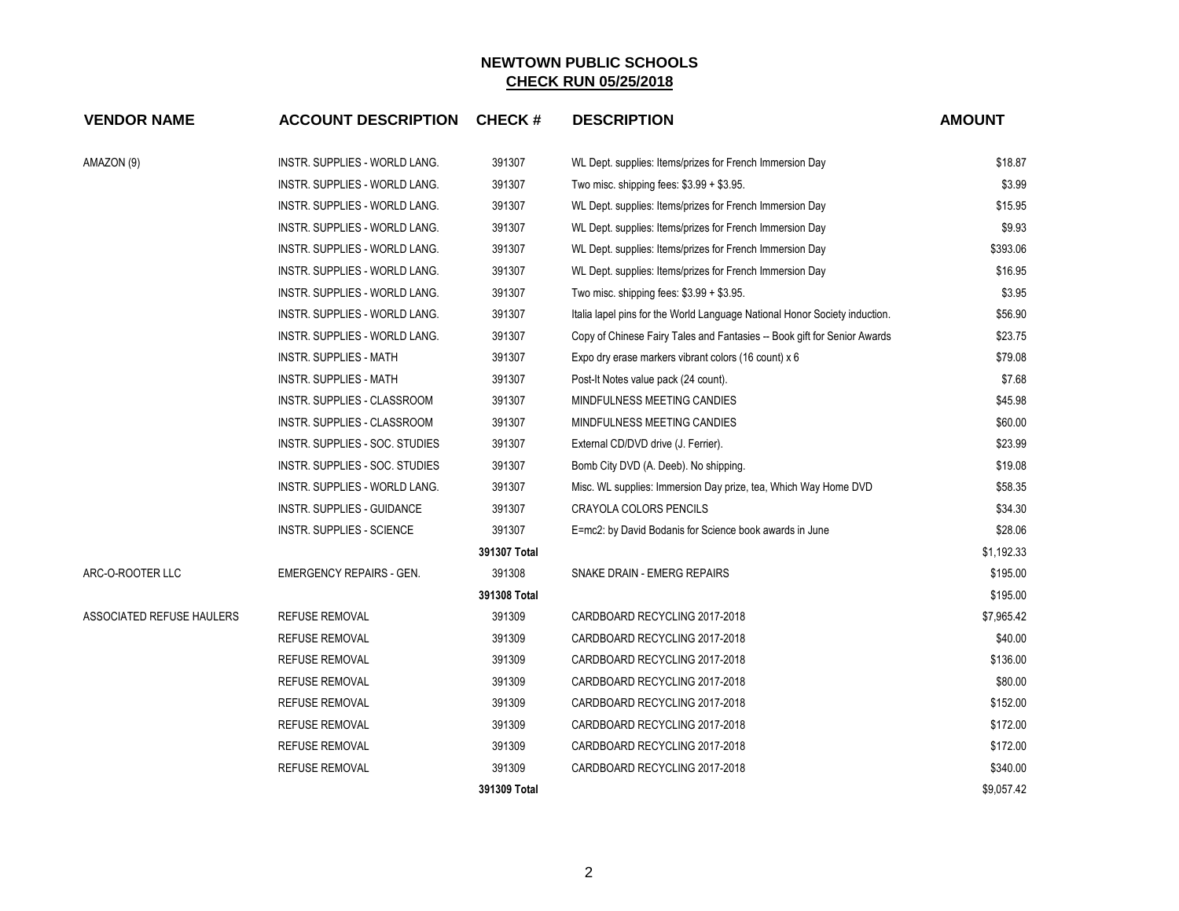| <b>VENDOR NAME</b>        | <b>ACCOUNT DESCRIPTION</b>       | <b>CHECK#</b> | <b>DESCRIPTION</b>                                                         | <b>AMOUNT</b> |
|---------------------------|----------------------------------|---------------|----------------------------------------------------------------------------|---------------|
| AMAZON (9)                | INSTR. SUPPLIES - WORLD LANG.    | 391307        | WL Dept. supplies: Items/prizes for French Immersion Day                   | \$18.87       |
|                           | INSTR. SUPPLIES - WORLD LANG.    | 391307        | Two misc. shipping fees: \$3.99 + \$3.95.                                  | \$3.99        |
|                           | INSTR. SUPPLIES - WORLD LANG.    | 391307        | WL Dept. supplies: Items/prizes for French Immersion Day                   | \$15.95       |
|                           | INSTR. SUPPLIES - WORLD LANG.    | 391307        | WL Dept. supplies: Items/prizes for French Immersion Day                   | \$9.93        |
|                           | INSTR. SUPPLIES - WORLD LANG.    | 391307        | WL Dept. supplies: Items/prizes for French Immersion Day                   | \$393.06      |
|                           | INSTR. SUPPLIES - WORLD LANG.    | 391307        | WL Dept. supplies: Items/prizes for French Immersion Day                   | \$16.95       |
|                           | INSTR. SUPPLIES - WORLD LANG.    | 391307        | Two misc. shipping fees: $$3.99 + $3.95$ .                                 | \$3.95        |
|                           | INSTR. SUPPLIES - WORLD LANG.    | 391307        | Italia lapel pins for the World Language National Honor Society induction. | \$56.90       |
|                           | INSTR. SUPPLIES - WORLD LANG.    | 391307        | Copy of Chinese Fairy Tales and Fantasies -- Book gift for Senior Awards   | \$23.75       |
|                           | INSTR. SUPPLIES - MATH           | 391307        | Expo dry erase markers vibrant colors (16 count) x 6                       | \$79.08       |
|                           | <b>INSTR. SUPPLIES - MATH</b>    | 391307        | Post-It Notes value pack (24 count).                                       | \$7.68        |
|                           | INSTR. SUPPLIES - CLASSROOM      | 391307        | MINDFULNESS MEETING CANDIES                                                | \$45.98       |
|                           | INSTR. SUPPLIES - CLASSROOM      | 391307        | MINDFULNESS MEETING CANDIES                                                | \$60.00       |
|                           | INSTR. SUPPLIES - SOC. STUDIES   | 391307        | External CD/DVD drive (J. Ferrier).                                        | \$23.99       |
|                           | INSTR. SUPPLIES - SOC. STUDIES   | 391307        | Bomb City DVD (A. Deeb). No shipping.                                      | \$19.08       |
|                           | INSTR. SUPPLIES - WORLD LANG.    | 391307        | Misc. WL supplies: Immersion Day prize, tea, Which Way Home DVD            | \$58.35       |
|                           | INSTR. SUPPLIES - GUIDANCE       | 391307        | CRAYOLA COLORS PENCILS                                                     | \$34.30       |
|                           | <b>INSTR. SUPPLIES - SCIENCE</b> | 391307        | E=mc2: by David Bodanis for Science book awards in June                    | \$28.06       |
|                           |                                  | 391307 Total  |                                                                            | \$1,192.33    |
| ARC-O-ROOTER LLC          | <b>EMERGENCY REPAIRS - GEN.</b>  | 391308        | SNAKE DRAIN - EMERG REPAIRS                                                | \$195.00      |
|                           |                                  | 391308 Total  |                                                                            | \$195.00      |
| ASSOCIATED REFUSE HAULERS | <b>REFUSE REMOVAL</b>            | 391309        | CARDBOARD RECYCLING 2017-2018                                              | \$7,965.42    |
|                           | <b>REFUSE REMOVAL</b>            | 391309        | CARDBOARD RECYCLING 2017-2018                                              | \$40.00       |
|                           | <b>REFUSE REMOVAL</b>            | 391309        | CARDBOARD RECYCLING 2017-2018                                              | \$136.00      |
|                           | <b>REFUSE REMOVAL</b>            | 391309        | CARDBOARD RECYCLING 2017-2018                                              | \$80.00       |
|                           | <b>REFUSE REMOVAL</b>            | 391309        | CARDBOARD RECYCLING 2017-2018                                              | \$152.00      |
|                           | <b>REFUSE REMOVAL</b>            | 391309        | CARDBOARD RECYCLING 2017-2018                                              | \$172.00      |
|                           | <b>REFUSE REMOVAL</b>            | 391309        | CARDBOARD RECYCLING 2017-2018                                              | \$172.00      |
|                           | <b>REFUSE REMOVAL</b>            | 391309        | CARDBOARD RECYCLING 2017-2018                                              | \$340.00      |
|                           |                                  | 391309 Total  |                                                                            | \$9,057.42    |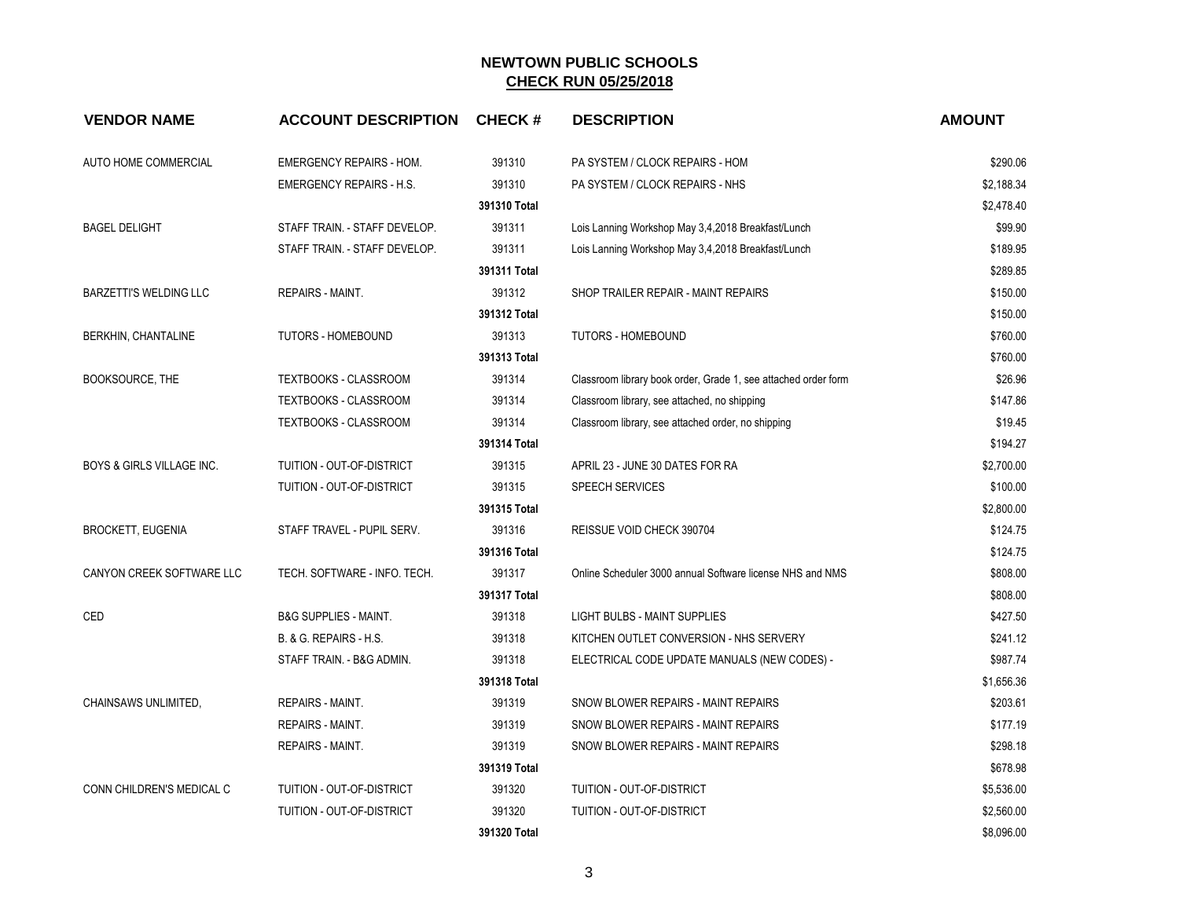| <b>VENDOR NAME</b>                   | <b>ACCOUNT DESCRIPTION</b>       | <b>CHECK#</b> | <b>DESCRIPTION</b>                                             | <b>AMOUNT</b> |
|--------------------------------------|----------------------------------|---------------|----------------------------------------------------------------|---------------|
| AUTO HOME COMMERCIAL                 | <b>EMERGENCY REPAIRS - HOM.</b>  | 391310        | PA SYSTEM / CLOCK REPAIRS - HOM                                | \$290.06      |
|                                      | <b>EMERGENCY REPAIRS - H.S.</b>  | 391310        | PA SYSTEM / CLOCK REPAIRS - NHS                                | \$2,188.34    |
|                                      |                                  | 391310 Total  |                                                                | \$2,478.40    |
| <b>BAGEL DELIGHT</b>                 | STAFF TRAIN. - STAFF DEVELOP.    | 391311        | Lois Lanning Workshop May 3,4,2018 Breakfast/Lunch             | \$99.90       |
|                                      | STAFF TRAIN. - STAFF DEVELOP.    | 391311        | Lois Lanning Workshop May 3,4,2018 Breakfast/Lunch             | \$189.95      |
|                                      |                                  | 391311 Total  |                                                                | \$289.85      |
| BARZETTI'S WELDING LLC               | REPAIRS - MAINT.                 | 391312        | SHOP TRAILER REPAIR - MAINT REPAIRS                            | \$150.00      |
|                                      |                                  | 391312 Total  |                                                                | \$150.00      |
| BERKHIN, CHANTALINE                  | TUTORS - HOMEBOUND               | 391313        | <b>TUTORS - HOMEBOUND</b>                                      | \$760.00      |
|                                      |                                  | 391313 Total  |                                                                | \$760.00      |
| BOOKSOURCE, THE                      | TEXTBOOKS - CLASSROOM            | 391314        | Classroom library book order, Grade 1, see attached order form | \$26.96       |
|                                      | <b>TEXTBOOKS - CLASSROOM</b>     | 391314        | Classroom library, see attached, no shipping                   | \$147.86      |
|                                      | TEXTBOOKS - CLASSROOM            | 391314        | Classroom library, see attached order, no shipping             | \$19.45       |
|                                      |                                  | 391314 Total  |                                                                | \$194.27      |
| <b>BOYS &amp; GIRLS VILLAGE INC.</b> | TUITION - OUT-OF-DISTRICT        | 391315        | APRIL 23 - JUNE 30 DATES FOR RA                                | \$2,700.00    |
|                                      | <b>TUITION - OUT-OF-DISTRICT</b> | 391315        | <b>SPEECH SERVICES</b>                                         | \$100.00      |
|                                      |                                  | 391315 Total  |                                                                | \$2,800.00    |
| <b>BROCKETT, EUGENIA</b>             | STAFF TRAVEL - PUPIL SERV.       | 391316        | REISSUE VOID CHECK 390704                                      | \$124.75      |
|                                      |                                  | 391316 Total  |                                                                | \$124.75      |
| CANYON CREEK SOFTWARE LLC            | TECH. SOFTWARE - INFO. TECH.     | 391317        | Online Scheduler 3000 annual Software license NHS and NMS      | \$808.00      |
|                                      |                                  | 391317 Total  |                                                                | \$808.00      |
| CED                                  | <b>B&amp;G SUPPLIES - MAINT.</b> | 391318        | <b>LIGHT BULBS - MAINT SUPPLIES</b>                            | \$427.50      |
|                                      | B. & G. REPAIRS - H.S.           | 391318        | KITCHEN OUTLET CONVERSION - NHS SERVERY                        | \$241.12      |
|                                      | STAFF TRAIN. - B&G ADMIN.        | 391318        | ELECTRICAL CODE UPDATE MANUALS (NEW CODES) -                   | \$987.74      |
|                                      |                                  | 391318 Total  |                                                                | \$1,656.36    |
| CHAINSAWS UNLIMITED,                 | <b>REPAIRS - MAINT.</b>          | 391319        | SNOW BLOWER REPAIRS - MAINT REPAIRS                            | \$203.61      |
|                                      | <b>REPAIRS - MAINT.</b>          | 391319        | SNOW BLOWER REPAIRS - MAINT REPAIRS                            | \$177.19      |
|                                      | REPAIRS - MAINT.                 | 391319        | SNOW BLOWER REPAIRS - MAINT REPAIRS                            | \$298.18      |
|                                      |                                  | 391319 Total  |                                                                | \$678.98      |
| CONN CHILDREN'S MEDICAL C            | TUITION - OUT-OF-DISTRICT        | 391320        | TUITION - OUT-OF-DISTRICT                                      | \$5,536.00    |
|                                      | TUITION - OUT-OF-DISTRICT        | 391320        | TUITION - OUT-OF-DISTRICT                                      | \$2,560.00    |
|                                      |                                  | 391320 Total  |                                                                | \$8,096.00    |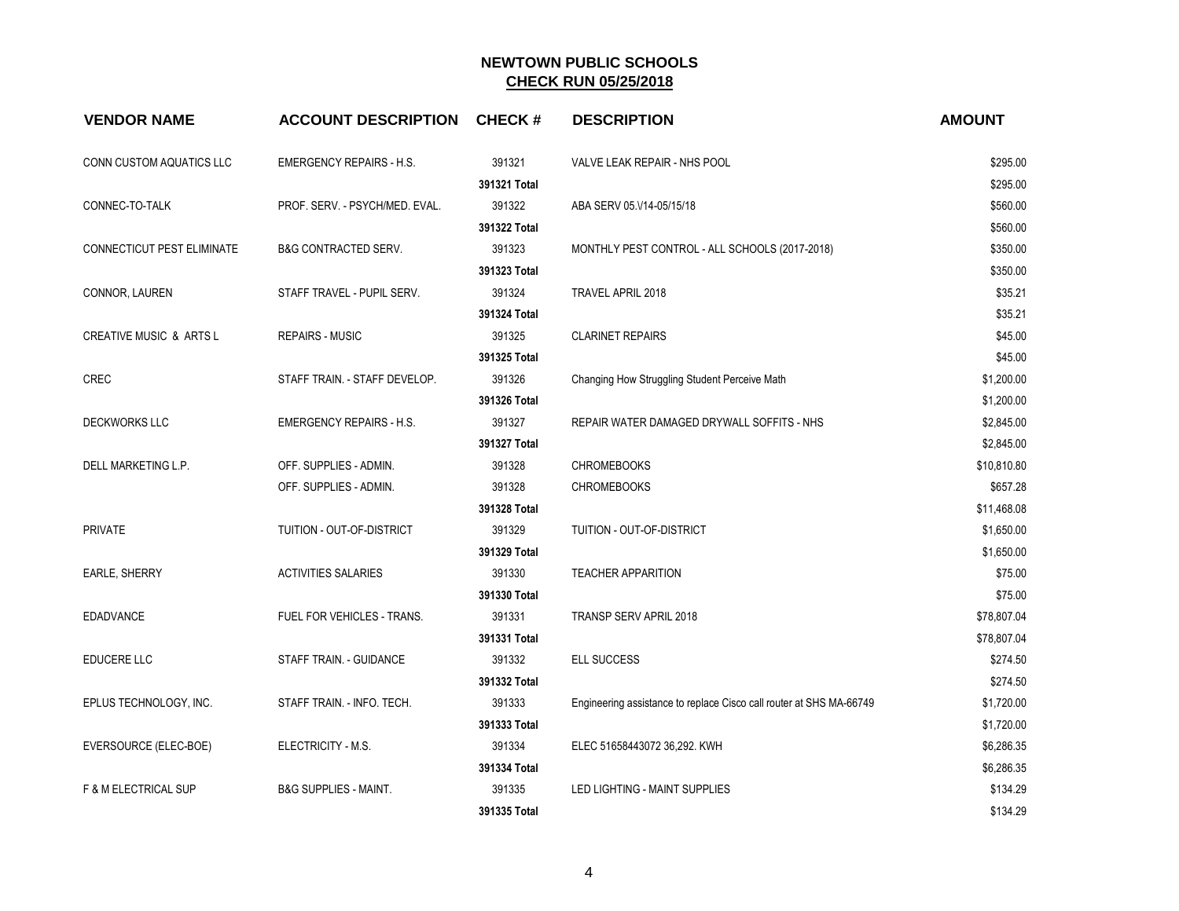| <b>VENDOR NAME</b>                 | <b>ACCOUNT DESCRIPTION</b>       | <b>CHECK#</b> | <b>DESCRIPTION</b>                                                  | <b>AMOUNT</b> |
|------------------------------------|----------------------------------|---------------|---------------------------------------------------------------------|---------------|
| CONN CUSTOM AQUATICS LLC           | EMERGENCY REPAIRS - H.S.         | 391321        | VALVE LEAK REPAIR - NHS POOL                                        | \$295.00      |
|                                    |                                  | 391321 Total  |                                                                     | \$295.00      |
| CONNEC-TO-TALK                     | PROF. SERV. - PSYCH/MED. EVAL.   | 391322        | ABA SERV 05.V14-05/15/18                                            | \$560.00      |
|                                    |                                  | 391322 Total  |                                                                     | \$560.00      |
| CONNECTICUT PEST ELIMINATE         | <b>B&amp;G CONTRACTED SERV.</b>  | 391323        | MONTHLY PEST CONTROL - ALL SCHOOLS (2017-2018)                      | \$350.00      |
|                                    |                                  | 391323 Total  |                                                                     | \$350.00      |
| CONNOR, LAUREN                     | STAFF TRAVEL - PUPIL SERV.       | 391324        | TRAVEL APRIL 2018                                                   | \$35.21       |
|                                    |                                  | 391324 Total  |                                                                     | \$35.21       |
| <b>CREATIVE MUSIC &amp; ARTS L</b> | <b>REPAIRS - MUSIC</b>           | 391325        | <b>CLARINET REPAIRS</b>                                             | \$45.00       |
|                                    |                                  | 391325 Total  |                                                                     | \$45.00       |
| <b>CREC</b>                        | STAFF TRAIN. - STAFF DEVELOP.    | 391326        | Changing How Struggling Student Perceive Math                       | \$1,200.00    |
|                                    |                                  | 391326 Total  |                                                                     | \$1,200.00    |
| <b>DECKWORKS LLC</b>               | <b>EMERGENCY REPAIRS - H.S.</b>  | 391327        | REPAIR WATER DAMAGED DRYWALL SOFFITS - NHS                          | \$2,845.00    |
|                                    |                                  | 391327 Total  |                                                                     | \$2,845.00    |
| DELL MARKETING L.P.                | OFF. SUPPLIES - ADMIN.           | 391328        | <b>CHROMEBOOKS</b>                                                  | \$10,810.80   |
|                                    | OFF. SUPPLIES - ADMIN.           | 391328        | <b>CHROMEBOOKS</b>                                                  | \$657.28      |
|                                    |                                  | 391328 Total  |                                                                     | \$11,468.08   |
| <b>PRIVATE</b>                     | TUITION - OUT-OF-DISTRICT        | 391329        | TUITION - OUT-OF-DISTRICT                                           | \$1,650.00    |
|                                    |                                  | 391329 Total  |                                                                     | \$1,650.00    |
| <b>EARLE, SHERRY</b>               | <b>ACTIVITIES SALARIES</b>       | 391330        | <b>TEACHER APPARITION</b>                                           | \$75.00       |
|                                    |                                  | 391330 Total  |                                                                     | \$75.00       |
| <b>EDADVANCE</b>                   | FUEL FOR VEHICLES - TRANS.       | 391331        | <b>TRANSP SERV APRIL 2018</b>                                       | \$78,807.04   |
|                                    |                                  | 391331 Total  |                                                                     | \$78,807.04   |
| EDUCERE LLC                        | STAFF TRAIN. - GUIDANCE          | 391332        | ELL SUCCESS                                                         | \$274.50      |
|                                    |                                  | 391332 Total  |                                                                     | \$274.50      |
| EPLUS TECHNOLOGY, INC.             | STAFF TRAIN. - INFO. TECH.       | 391333        | Engineering assistance to replace Cisco call router at SHS MA-66749 | \$1,720.00    |
|                                    |                                  | 391333 Total  |                                                                     | \$1,720.00    |
| EVERSOURCE (ELEC-BOE)              | ELECTRICITY - M.S.               | 391334        | ELEC 51658443072 36,292. KWH                                        | \$6,286.35    |
|                                    |                                  | 391334 Total  |                                                                     | \$6,286.35    |
| <b>F &amp; M ELECTRICAL SUP</b>    | <b>B&amp;G SUPPLIES - MAINT.</b> | 391335        | LED LIGHTING - MAINT SUPPLIES                                       | \$134.29      |
|                                    |                                  | 391335 Total  |                                                                     | \$134.29      |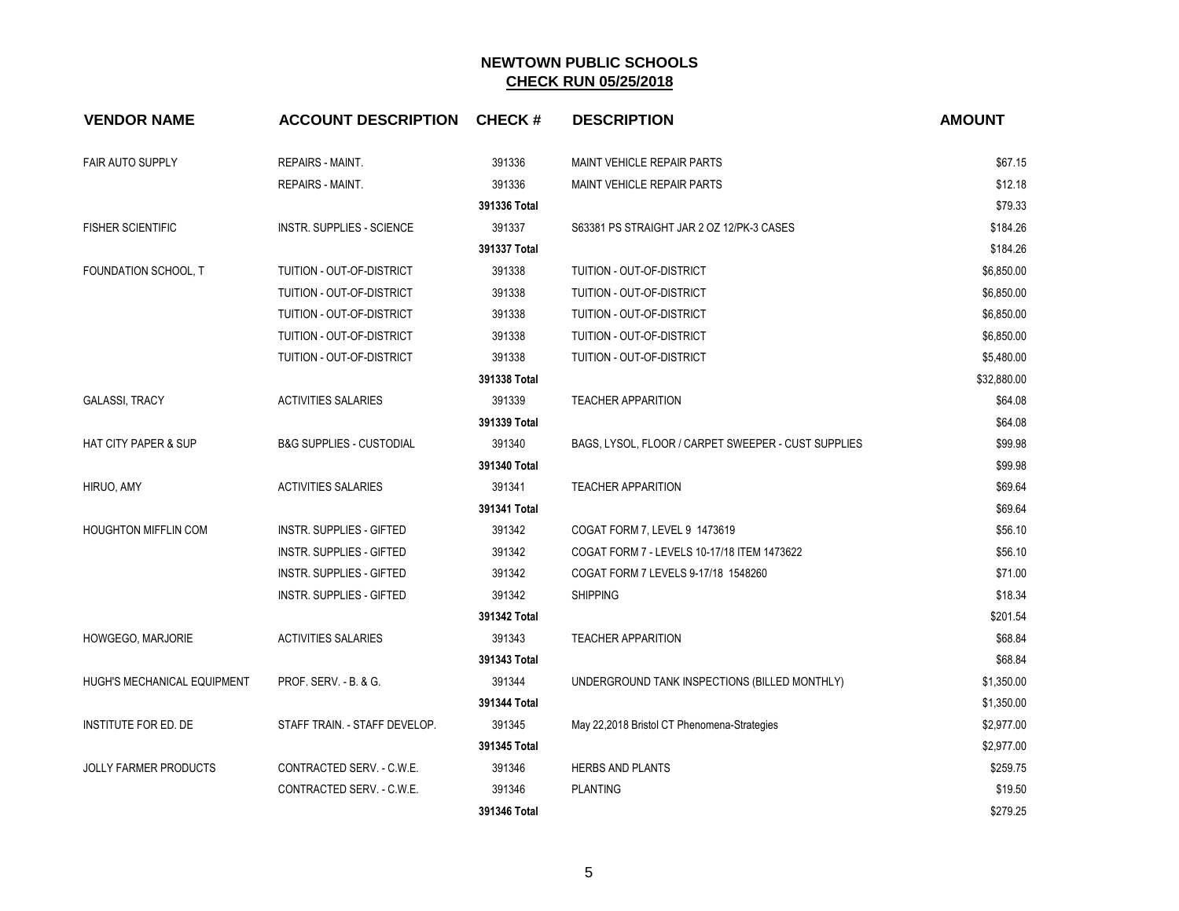| <b>VENDOR NAME</b>              | <b>ACCOUNT DESCRIPTION CHECK #</b>  |              | <b>DESCRIPTION</b>                                  | <b>AMOUNT</b> |
|---------------------------------|-------------------------------------|--------------|-----------------------------------------------------|---------------|
| <b>FAIR AUTO SUPPLY</b>         | REPAIRS - MAINT.                    | 391336       | <b>MAINT VEHICLE REPAIR PARTS</b>                   | \$67.15       |
|                                 | <b>REPAIRS - MAINT.</b>             | 391336       | MAINT VEHICLE REPAIR PARTS                          | \$12.18       |
|                                 |                                     | 391336 Total |                                                     | \$79.33       |
| <b>FISHER SCIENTIFIC</b>        | <b>INSTR. SUPPLIES - SCIENCE</b>    | 391337       | S63381 PS STRAIGHT JAR 2 OZ 12/PK-3 CASES           | \$184.26      |
|                                 |                                     | 391337 Total |                                                     | \$184.26      |
| FOUNDATION SCHOOL, T            | TUITION - OUT-OF-DISTRICT           | 391338       | TUITION - OUT-OF-DISTRICT                           | \$6,850.00    |
|                                 | TUITION - OUT-OF-DISTRICT           | 391338       | TUITION - OUT-OF-DISTRICT                           | \$6,850.00    |
|                                 | TUITION - OUT-OF-DISTRICT           | 391338       | TUITION - OUT-OF-DISTRICT                           | \$6,850.00    |
|                                 | TUITION - OUT-OF-DISTRICT           | 391338       | TUITION - OUT-OF-DISTRICT                           | \$6,850.00    |
|                                 | TUITION - OUT-OF-DISTRICT           | 391338       | TUITION - OUT-OF-DISTRICT                           | \$5,480.00    |
|                                 |                                     | 391338 Total |                                                     | \$32,880.00   |
| <b>GALASSI, TRACY</b>           | <b>ACTIVITIES SALARIES</b>          | 391339       | <b>TEACHER APPARITION</b>                           | \$64.08       |
|                                 |                                     | 391339 Total |                                                     | \$64.08       |
| <b>HAT CITY PAPER &amp; SUP</b> | <b>B&amp;G SUPPLIES - CUSTODIAL</b> | 391340       | BAGS, LYSOL, FLOOR / CARPET SWEEPER - CUST SUPPLIES | \$99.98       |
|                                 |                                     | 391340 Total |                                                     | \$99.98       |
| HIRUO, AMY                      | <b>ACTIVITIES SALARIES</b>          | 391341       | <b>TEACHER APPARITION</b>                           | \$69.64       |
|                                 |                                     | 391341 Total |                                                     | \$69.64       |
| <b>HOUGHTON MIFFLIN COM</b>     | <b>INSTR. SUPPLIES - GIFTED</b>     | 391342       | COGAT FORM 7, LEVEL 9 1473619                       | \$56.10       |
|                                 | <b>INSTR. SUPPLIES - GIFTED</b>     | 391342       | COGAT FORM 7 - LEVELS 10-17/18 ITEM 1473622         | \$56.10       |
|                                 | <b>INSTR. SUPPLIES - GIFTED</b>     | 391342       | COGAT FORM 7 LEVELS 9-17/18 1548260                 | \$71.00       |
|                                 | INSTR. SUPPLIES - GIFTED            | 391342       | <b>SHIPPING</b>                                     | \$18.34       |
|                                 |                                     | 391342 Total |                                                     | \$201.54      |
| HOWGEGO, MARJORIE               | <b>ACTIVITIES SALARIES</b>          | 391343       | <b>TEACHER APPARITION</b>                           | \$68.84       |
|                                 |                                     | 391343 Total |                                                     | \$68.84       |
| HUGH'S MECHANICAL EQUIPMENT     | PROF. SERV. - B. & G.               | 391344       | UNDERGROUND TANK INSPECTIONS (BILLED MONTHLY)       | \$1,350.00    |
|                                 |                                     | 391344 Total |                                                     | \$1,350.00    |
| INSTITUTE FOR ED. DE            | STAFF TRAIN. - STAFF DEVELOP.       | 391345       | May 22,2018 Bristol CT Phenomena-Strategies         | \$2,977.00    |
|                                 |                                     | 391345 Total |                                                     | \$2,977.00    |
| <b>JOLLY FARMER PRODUCTS</b>    | CONTRACTED SERV. - C.W.E.           | 391346       | HERBS AND PLANTS                                    | \$259.75      |
|                                 | CONTRACTED SERV. - C.W.E.           | 391346       | <b>PLANTING</b>                                     | \$19.50       |
|                                 |                                     | 391346 Total |                                                     | \$279.25      |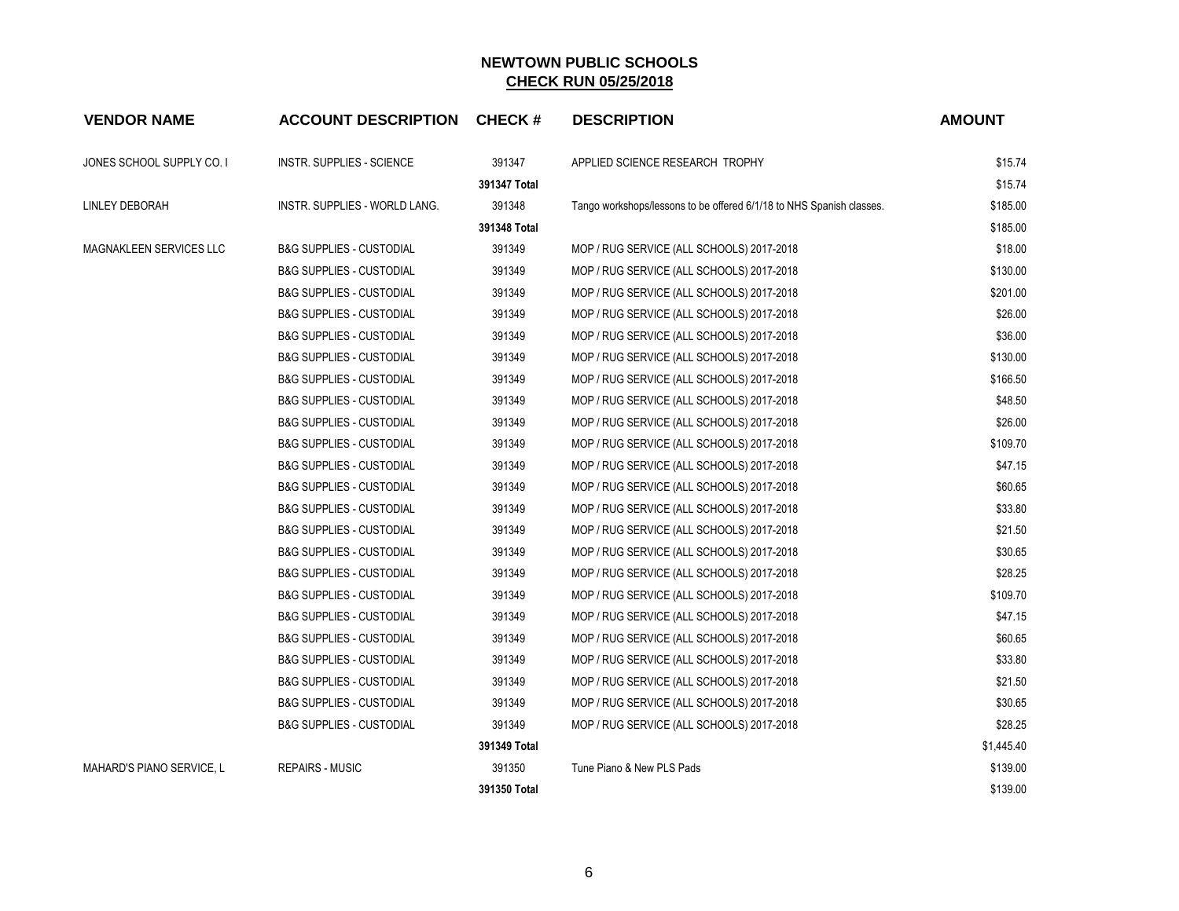| <b>VENDOR NAME</b>        | <b>ACCOUNT DESCRIPTION CHECK #</b>  |              | <b>DESCRIPTION</b>                                                   | <b>AMOUNT</b> |
|---------------------------|-------------------------------------|--------------|----------------------------------------------------------------------|---------------|
| JONES SCHOOL SUPPLY CO. I | INSTR. SUPPLIES - SCIENCE           | 391347       | APPLIED SCIENCE RESEARCH TROPHY                                      | \$15.74       |
|                           |                                     | 391347 Total |                                                                      | \$15.74       |
| <b>LINLEY DEBORAH</b>     | INSTR. SUPPLIES - WORLD LANG.       | 391348       | Tango workshops/lessons to be offered 6/1/18 to NHS Spanish classes. | \$185.00      |
|                           |                                     | 391348 Total |                                                                      | \$185.00      |
| MAGNAKLEEN SERVICES LLC   | <b>B&amp;G SUPPLIES - CUSTODIAL</b> | 391349       | MOP / RUG SERVICE (ALL SCHOOLS) 2017-2018                            | \$18.00       |
|                           | <b>B&amp;G SUPPLIES - CUSTODIAL</b> | 391349       | MOP / RUG SERVICE (ALL SCHOOLS) 2017-2018                            | \$130.00      |
|                           | <b>B&amp;G SUPPLIES - CUSTODIAL</b> | 391349       | MOP / RUG SERVICE (ALL SCHOOLS) 2017-2018                            | \$201.00      |
|                           | <b>B&amp;G SUPPLIES - CUSTODIAL</b> | 391349       | MOP / RUG SERVICE (ALL SCHOOLS) 2017-2018                            | \$26.00       |
|                           | <b>B&amp;G SUPPLIES - CUSTODIAL</b> | 391349       | MOP / RUG SERVICE (ALL SCHOOLS) 2017-2018                            | \$36.00       |
|                           | <b>B&amp;G SUPPLIES - CUSTODIAL</b> | 391349       | MOP / RUG SERVICE (ALL SCHOOLS) 2017-2018                            | \$130.00      |
|                           | <b>B&amp;G SUPPLIES - CUSTODIAL</b> | 391349       | MOP / RUG SERVICE (ALL SCHOOLS) 2017-2018                            | \$166.50      |
|                           | <b>B&amp;G SUPPLIES - CUSTODIAL</b> | 391349       | MOP / RUG SERVICE (ALL SCHOOLS) 2017-2018                            | \$48.50       |
|                           | <b>B&amp;G SUPPLIES - CUSTODIAL</b> | 391349       | MOP / RUG SERVICE (ALL SCHOOLS) 2017-2018                            | \$26.00       |
|                           | <b>B&amp;G SUPPLIES - CUSTODIAL</b> | 391349       | MOP / RUG SERVICE (ALL SCHOOLS) 2017-2018                            | \$109.70      |
|                           | <b>B&amp;G SUPPLIES - CUSTODIAL</b> | 391349       | MOP / RUG SERVICE (ALL SCHOOLS) 2017-2018                            | \$47.15       |
|                           | <b>B&amp;G SUPPLIES - CUSTODIAL</b> | 391349       | MOP / RUG SERVICE (ALL SCHOOLS) 2017-2018                            | \$60.65       |
|                           | <b>B&amp;G SUPPLIES - CUSTODIAL</b> | 391349       | MOP / RUG SERVICE (ALL SCHOOLS) 2017-2018                            | \$33.80       |
|                           | <b>B&amp;G SUPPLIES - CUSTODIAL</b> | 391349       | MOP / RUG SERVICE (ALL SCHOOLS) 2017-2018                            | \$21.50       |
|                           | <b>B&amp;G SUPPLIES - CUSTODIAL</b> | 391349       | MOP / RUG SERVICE (ALL SCHOOLS) 2017-2018                            | \$30.65       |
|                           | <b>B&amp;G SUPPLIES - CUSTODIAL</b> | 391349       | MOP / RUG SERVICE (ALL SCHOOLS) 2017-2018                            | \$28.25       |
|                           | <b>B&amp;G SUPPLIES - CUSTODIAL</b> | 391349       | MOP / RUG SERVICE (ALL SCHOOLS) 2017-2018                            | \$109.70      |
|                           | <b>B&amp;G SUPPLIES - CUSTODIAL</b> | 391349       | MOP / RUG SERVICE (ALL SCHOOLS) 2017-2018                            | \$47.15       |
|                           | <b>B&amp;G SUPPLIES - CUSTODIAL</b> | 391349       | MOP / RUG SERVICE (ALL SCHOOLS) 2017-2018                            | \$60.65       |
|                           | <b>B&amp;G SUPPLIES - CUSTODIAL</b> | 391349       | MOP / RUG SERVICE (ALL SCHOOLS) 2017-2018                            | \$33.80       |
|                           | <b>B&amp;G SUPPLIES - CUSTODIAL</b> | 391349       | MOP / RUG SERVICE (ALL SCHOOLS) 2017-2018                            | \$21.50       |
|                           | <b>B&amp;G SUPPLIES - CUSTODIAL</b> | 391349       | MOP / RUG SERVICE (ALL SCHOOLS) 2017-2018                            | \$30.65       |
|                           | <b>B&amp;G SUPPLIES - CUSTODIAL</b> | 391349       | MOP / RUG SERVICE (ALL SCHOOLS) 2017-2018                            | \$28.25       |
|                           |                                     | 391349 Total |                                                                      | \$1,445.40    |
| MAHARD'S PIANO SERVICE, L | <b>REPAIRS - MUSIC</b>              | 391350       | Tune Piano & New PLS Pads                                            | \$139.00      |
|                           |                                     | 391350 Total |                                                                      | \$139.00      |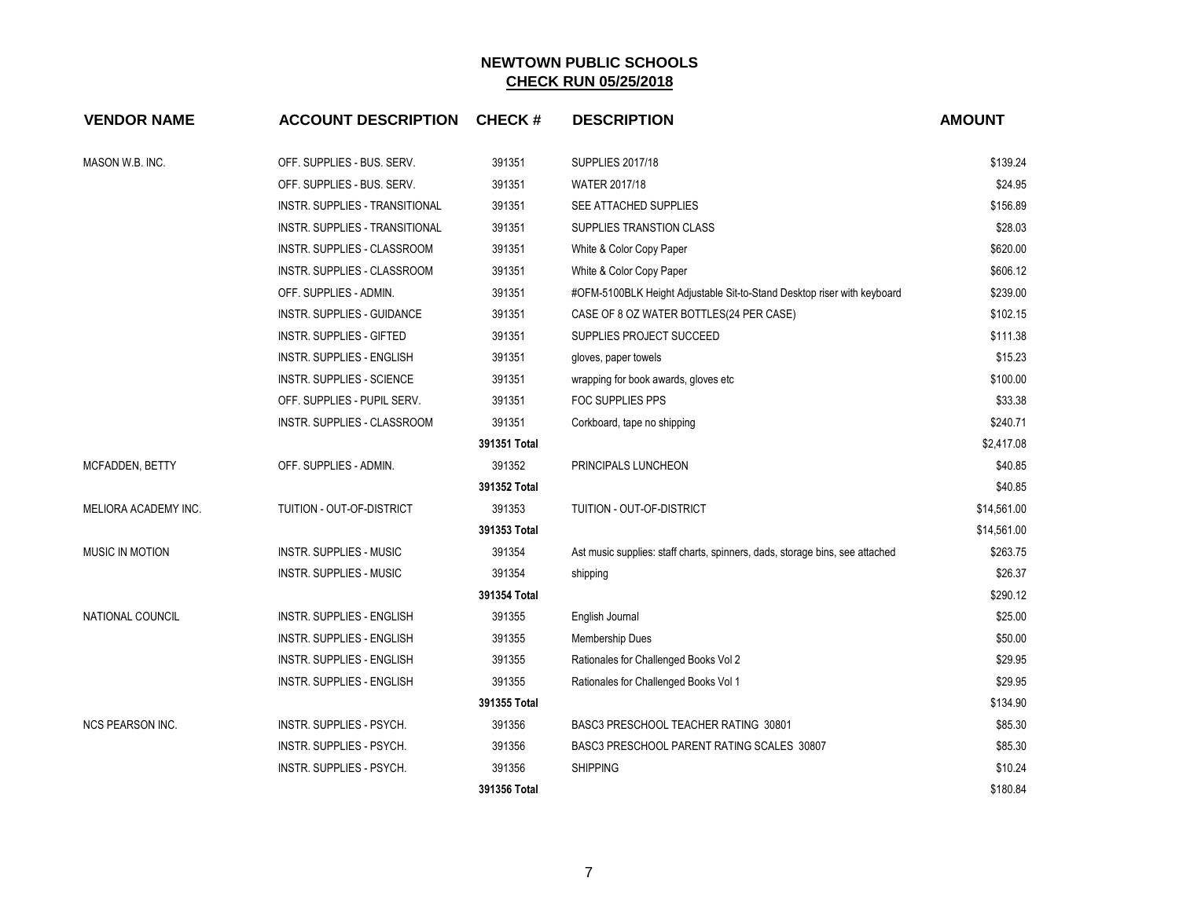| <b>VENDOR NAME</b>      | <b>ACCOUNT DESCRIPTION</b>       | <b>CHECK#</b> | <b>DESCRIPTION</b>                                                           | <b>AMOUNT</b> |
|-------------------------|----------------------------------|---------------|------------------------------------------------------------------------------|---------------|
| MASON W.B. INC.         | OFF. SUPPLIES - BUS. SERV.       | 391351        | <b>SUPPLIES 2017/18</b>                                                      | \$139.24      |
|                         | OFF. SUPPLIES - BUS. SERV.       | 391351        | WATER 2017/18                                                                | \$24.95       |
|                         | INSTR. SUPPLIES - TRANSITIONAL   | 391351        | SEE ATTACHED SUPPLIES                                                        | \$156.89      |
|                         | INSTR. SUPPLIES - TRANSITIONAL   | 391351        | SUPPLIES TRANSTION CLASS                                                     | \$28.03       |
|                         | INSTR. SUPPLIES - CLASSROOM      | 391351        | White & Color Copy Paper                                                     | \$620.00      |
|                         | INSTR. SUPPLIES - CLASSROOM      | 391351        | White & Color Copy Paper                                                     | \$606.12      |
|                         | OFF. SUPPLIES - ADMIN.           | 391351        | #OFM-5100BLK Height Adjustable Sit-to-Stand Desktop riser with keyboard      | \$239.00      |
|                         | INSTR. SUPPLIES - GUIDANCE       | 391351        | CASE OF 8 OZ WATER BOTTLES(24 PER CASE)                                      | \$102.15      |
|                         | <b>INSTR. SUPPLIES - GIFTED</b>  | 391351        | SUPPLIES PROJECT SUCCEED                                                     | \$111.38      |
|                         | INSTR. SUPPLIES - ENGLISH        | 391351        | gloves, paper towels                                                         | \$15.23       |
|                         | INSTR. SUPPLIES - SCIENCE        | 391351        | wrapping for book awards, gloves etc                                         | \$100.00      |
|                         | OFF. SUPPLIES - PUPIL SERV.      | 391351        | FOC SUPPLIES PPS                                                             | \$33.38       |
|                         | INSTR. SUPPLIES - CLASSROOM      | 391351        | Corkboard, tape no shipping                                                  | \$240.71      |
|                         |                                  | 391351 Total  |                                                                              | \$2,417.08    |
| MCFADDEN, BETTY         | OFF. SUPPLIES - ADMIN.           | 391352        | PRINCIPALS LUNCHEON                                                          | \$40.85       |
|                         |                                  | 391352 Total  |                                                                              | \$40.85       |
| MELIORA ACADEMY INC.    | TUITION - OUT-OF-DISTRICT        | 391353        | <b>TUITION - OUT-OF-DISTRICT</b>                                             | \$14,561.00   |
|                         |                                  | 391353 Total  |                                                                              | \$14,561.00   |
| <b>MUSIC IN MOTION</b>  | <b>INSTR. SUPPLIES - MUSIC</b>   | 391354        | Ast music supplies: staff charts, spinners, dads, storage bins, see attached | \$263.75      |
|                         | <b>INSTR. SUPPLIES - MUSIC</b>   | 391354        | shipping                                                                     | \$26.37       |
|                         |                                  | 391354 Total  |                                                                              | \$290.12      |
| <b>NATIONAL COUNCIL</b> | <b>INSTR. SUPPLIES - ENGLISH</b> | 391355        | English Journal                                                              | \$25.00       |
|                         | <b>INSTR. SUPPLIES - ENGLISH</b> | 391355        | <b>Membership Dues</b>                                                       | \$50.00       |
|                         | <b>INSTR. SUPPLIES - ENGLISH</b> | 391355        | Rationales for Challenged Books Vol 2                                        | \$29.95       |
|                         | <b>INSTR. SUPPLIES - ENGLISH</b> | 391355        | Rationales for Challenged Books Vol 1                                        | \$29.95       |
|                         |                                  | 391355 Total  |                                                                              | \$134.90      |
| <b>NCS PEARSON INC.</b> | INSTR. SUPPLIES - PSYCH.         | 391356        | BASC3 PRESCHOOL TEACHER RATING 30801                                         | \$85.30       |
|                         | INSTR. SUPPLIES - PSYCH.         | 391356        | BASC3 PRESCHOOL PARENT RATING SCALES 30807                                   | \$85.30       |
|                         | <b>INSTR. SUPPLIES - PSYCH.</b>  | 391356        | <b>SHIPPING</b>                                                              | \$10.24       |
|                         |                                  | 391356 Total  |                                                                              | \$180.84      |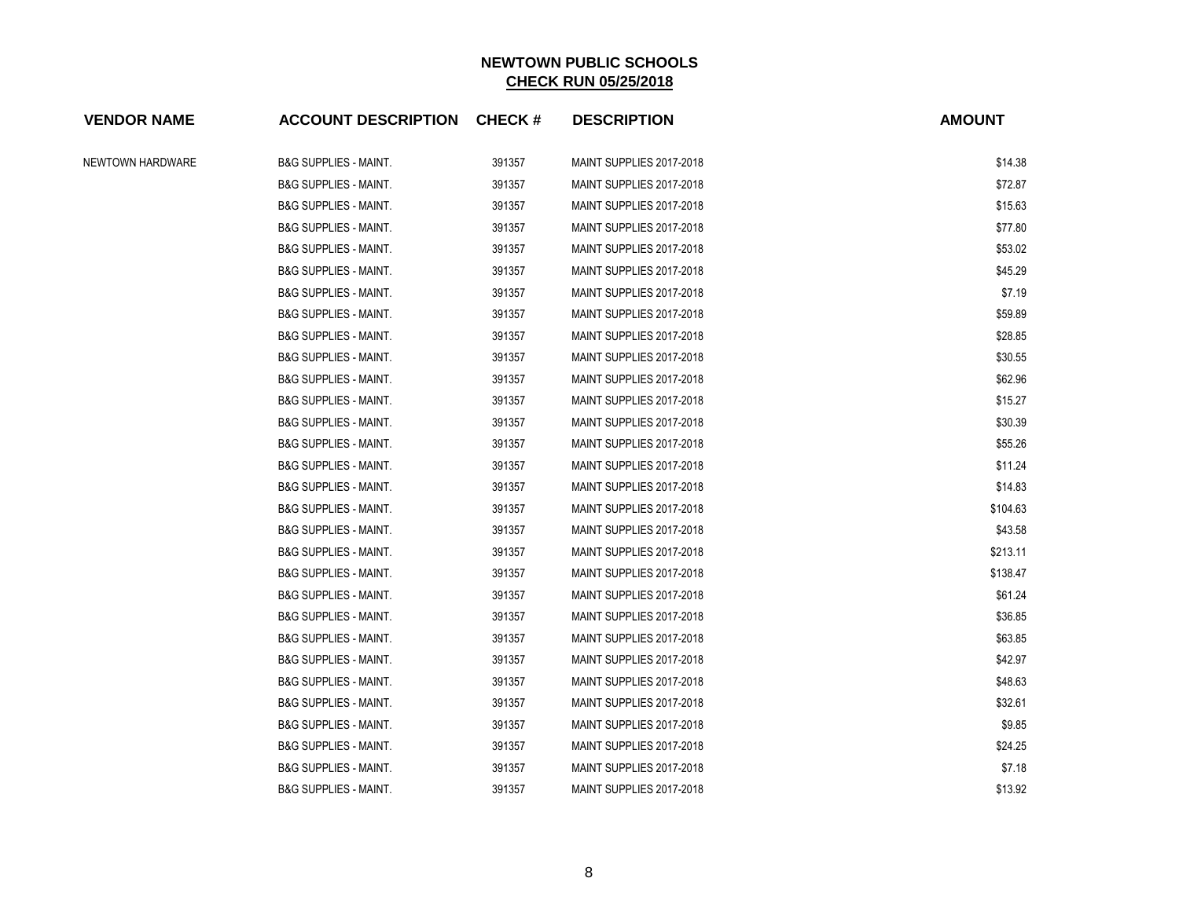| <b>VENDOR NAME</b> | <b>ACCOUNT DESCRIPTION CHECK #</b> |        | <b>DESCRIPTION</b>       | <b>AMOUNT</b> |
|--------------------|------------------------------------|--------|--------------------------|---------------|
| NEWTOWN HARDWARE   | <b>B&amp;G SUPPLIES - MAINT.</b>   | 391357 | MAINT SUPPLIES 2017-2018 | \$14.38       |
|                    | <b>B&amp;G SUPPLIES - MAINT.</b>   | 391357 | MAINT SUPPLIES 2017-2018 | \$72.87       |
|                    | <b>B&amp;G SUPPLIES - MAINT.</b>   | 391357 | MAINT SUPPLIES 2017-2018 | \$15.63       |
|                    | <b>B&amp;G SUPPLIES - MAINT.</b>   | 391357 | MAINT SUPPLIES 2017-2018 | \$77.80       |
|                    | <b>B&amp;G SUPPLIES - MAINT.</b>   | 391357 | MAINT SUPPLIES 2017-2018 | \$53.02       |
|                    | <b>B&amp;G SUPPLIES - MAINT.</b>   | 391357 | MAINT SUPPLIES 2017-2018 | \$45.29       |
|                    | <b>B&amp;G SUPPLIES - MAINT.</b>   | 391357 | MAINT SUPPLIES 2017-2018 | \$7.19        |
|                    | <b>B&amp;G SUPPLIES - MAINT.</b>   | 391357 | MAINT SUPPLIES 2017-2018 | \$59.89       |
|                    | <b>B&amp;G SUPPLIES - MAINT.</b>   | 391357 | MAINT SUPPLIES 2017-2018 | \$28.85       |
|                    | <b>B&amp;G SUPPLIES - MAINT.</b>   | 391357 | MAINT SUPPLIES 2017-2018 | \$30.55       |
|                    | <b>B&amp;G SUPPLIES - MAINT.</b>   | 391357 | MAINT SUPPLIES 2017-2018 | \$62.96       |
|                    | <b>B&amp;G SUPPLIES - MAINT.</b>   | 391357 | MAINT SUPPLIES 2017-2018 | \$15.27       |
|                    | <b>B&amp;G SUPPLIES - MAINT.</b>   | 391357 | MAINT SUPPLIES 2017-2018 | \$30.39       |
|                    | <b>B&amp;G SUPPLIES - MAINT.</b>   | 391357 | MAINT SUPPLIES 2017-2018 | \$55.26       |
|                    | <b>B&amp;G SUPPLIES - MAINT.</b>   | 391357 | MAINT SUPPLIES 2017-2018 | \$11.24       |
|                    | <b>B&amp;G SUPPLIES - MAINT.</b>   | 391357 | MAINT SUPPLIES 2017-2018 | \$14.83       |
|                    | <b>B&amp;G SUPPLIES - MAINT.</b>   | 391357 | MAINT SUPPLIES 2017-2018 | \$104.63      |
|                    | <b>B&amp;G SUPPLIES - MAINT.</b>   | 391357 | MAINT SUPPLIES 2017-2018 | \$43.58       |
|                    | <b>B&amp;G SUPPLIES - MAINT.</b>   | 391357 | MAINT SUPPLIES 2017-2018 | \$213.11      |
|                    | <b>B&amp;G SUPPLIES - MAINT.</b>   | 391357 | MAINT SUPPLIES 2017-2018 | \$138.47      |
|                    | <b>B&amp;G SUPPLIES - MAINT.</b>   | 391357 | MAINT SUPPLIES 2017-2018 | \$61.24       |
|                    | <b>B&amp;G SUPPLIES - MAINT.</b>   | 391357 | MAINT SUPPLIES 2017-2018 | \$36.85       |
|                    | <b>B&amp;G SUPPLIES - MAINT.</b>   | 391357 | MAINT SUPPLIES 2017-2018 | \$63.85       |
|                    | <b>B&amp;G SUPPLIES - MAINT.</b>   | 391357 | MAINT SUPPLIES 2017-2018 | \$42.97       |
|                    | <b>B&amp;G SUPPLIES - MAINT.</b>   | 391357 | MAINT SUPPLIES 2017-2018 | \$48.63       |
|                    | <b>B&amp;G SUPPLIES - MAINT.</b>   | 391357 | MAINT SUPPLIES 2017-2018 | \$32.61       |
|                    | <b>B&amp;G SUPPLIES - MAINT.</b>   | 391357 | MAINT SUPPLIES 2017-2018 | \$9.85        |
|                    | <b>B&amp;G SUPPLIES - MAINT.</b>   | 391357 | MAINT SUPPLIES 2017-2018 | \$24.25       |
|                    | <b>B&amp;G SUPPLIES - MAINT.</b>   | 391357 | MAINT SUPPLIES 2017-2018 | \$7.18        |
|                    | <b>B&amp;G SUPPLIES - MAINT.</b>   | 391357 | MAINT SUPPLIES 2017-2018 | \$13.92       |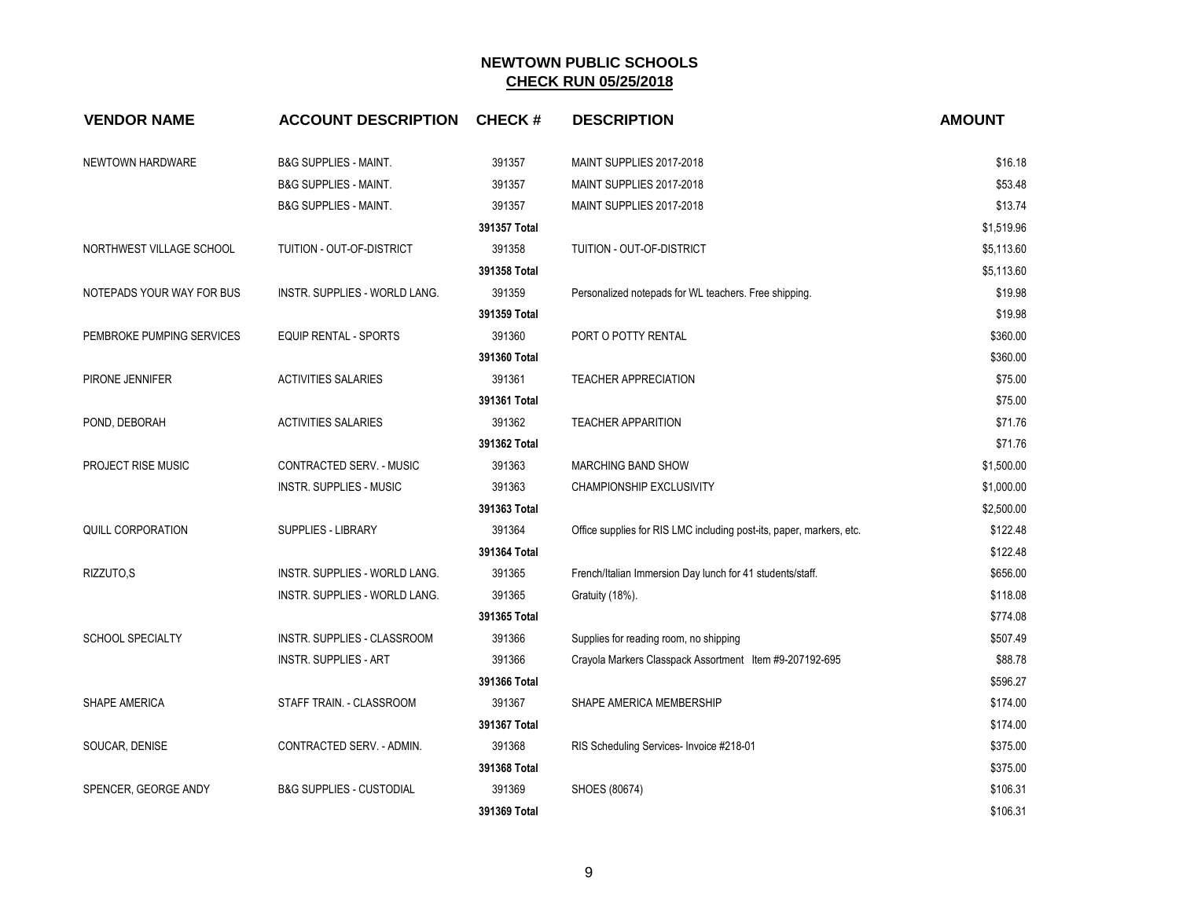| <b>VENDOR NAME</b>        | <b>ACCOUNT DESCRIPTION</b>          | <b>CHECK#</b> | <b>DESCRIPTION</b>                                                   | <b>AMOUNT</b> |
|---------------------------|-------------------------------------|---------------|----------------------------------------------------------------------|---------------|
| NEWTOWN HARDWARE          | <b>B&amp;G SUPPLIES - MAINT.</b>    | 391357        | MAINT SUPPLIES 2017-2018                                             | \$16.18       |
|                           | <b>B&amp;G SUPPLIES - MAINT.</b>    | 391357        | MAINT SUPPLIES 2017-2018                                             | \$53.48       |
|                           | <b>B&amp;G SUPPLIES - MAINT.</b>    | 391357        | MAINT SUPPLIES 2017-2018                                             | \$13.74       |
|                           |                                     | 391357 Total  |                                                                      | \$1,519.96    |
| NORTHWEST VILLAGE SCHOOL  | TUITION - OUT-OF-DISTRICT           | 391358        | TUITION - OUT-OF-DISTRICT                                            | \$5,113.60    |
|                           |                                     | 391358 Total  |                                                                      | \$5,113.60    |
| NOTEPADS YOUR WAY FOR BUS | INSTR. SUPPLIES - WORLD LANG.       | 391359        | Personalized notepads for WL teachers. Free shipping.                | \$19.98       |
|                           |                                     | 391359 Total  |                                                                      | \$19.98       |
| PEMBROKE PUMPING SERVICES | <b>EQUIP RENTAL - SPORTS</b>        | 391360        | PORT O POTTY RENTAL                                                  | \$360.00      |
|                           |                                     | 391360 Total  |                                                                      | \$360.00      |
| PIRONE JENNIFER           | <b>ACTIVITIES SALARIES</b>          | 391361        | <b>TEACHER APPRECIATION</b>                                          | \$75.00       |
|                           |                                     | 391361 Total  |                                                                      | \$75.00       |
| POND, DEBORAH             | <b>ACTIVITIES SALARIES</b>          | 391362        | <b>TEACHER APPARITION</b>                                            | \$71.76       |
|                           |                                     | 391362 Total  |                                                                      | \$71.76       |
| PROJECT RISE MUSIC        | CONTRACTED SERV. - MUSIC            | 391363        | MARCHING BAND SHOW                                                   | \$1,500.00    |
|                           | INSTR. SUPPLIES - MUSIC             | 391363        | CHAMPIONSHIP EXCLUSIVITY                                             | \$1,000.00    |
|                           |                                     | 391363 Total  |                                                                      | \$2,500.00    |
| <b>QUILL CORPORATION</b>  | <b>SUPPLIES - LIBRARY</b>           | 391364        | Office supplies for RIS LMC including post-its, paper, markers, etc. | \$122.48      |
|                           |                                     | 391364 Total  |                                                                      | \$122.48      |
| RIZZUTO,S                 | INSTR. SUPPLIES - WORLD LANG.       | 391365        | French/Italian Immersion Day lunch for 41 students/staff.            | \$656.00      |
|                           | INSTR. SUPPLIES - WORLD LANG.       | 391365        | Gratuity (18%).                                                      | \$118.08      |
|                           |                                     | 391365 Total  |                                                                      | \$774.08      |
| <b>SCHOOL SPECIALTY</b>   | INSTR. SUPPLIES - CLASSROOM         | 391366        | Supplies for reading room, no shipping                               | \$507.49      |
|                           | <b>INSTR. SUPPLIES - ART</b>        | 391366        | Crayola Markers Classpack Assortment Item #9-207192-695              | \$88.78       |
|                           |                                     | 391366 Total  |                                                                      | \$596.27      |
| SHAPE AMERICA             | STAFF TRAIN. - CLASSROOM            | 391367        | SHAPE AMERICA MEMBERSHIP                                             | \$174.00      |
|                           |                                     | 391367 Total  |                                                                      | \$174.00      |
| SOUCAR, DENISE            | CONTRACTED SERV. - ADMIN.           | 391368        | RIS Scheduling Services- Invoice #218-01                             | \$375.00      |
|                           |                                     | 391368 Total  |                                                                      | \$375.00      |
| SPENCER, GEORGE ANDY      | <b>B&amp;G SUPPLIES - CUSTODIAL</b> | 391369        | SHOES (80674)                                                        | \$106.31      |
|                           |                                     | 391369 Total  |                                                                      | \$106.31      |